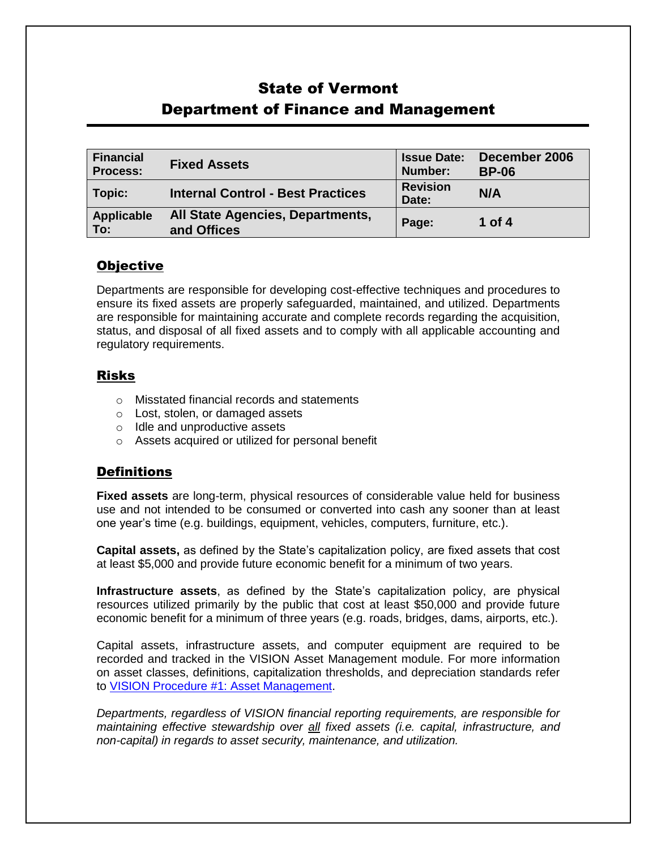# State of Vermont Department of Finance and Management

| <b>Financial</b><br><b>Process:</b> | <b>Fixed Assets</b>                             | <b>Issue Date:</b><br>Number: | December 2006<br><b>BP-06</b> |
|-------------------------------------|-------------------------------------------------|-------------------------------|-------------------------------|
| Topic:                              | <b>Internal Control - Best Practices</b>        | <b>Revision</b><br>Date:      | N/A                           |
| Applicable<br>To:                   | All State Agencies, Departments,<br>and Offices | Page:                         | 1 of 4                        |

### **Objective**

Departments are responsible for developing cost-effective techniques and procedures to ensure its fixed assets are properly safeguarded, maintained, and utilized. Departments are responsible for maintaining accurate and complete records regarding the acquisition, status, and disposal of all fixed assets and to comply with all applicable accounting and regulatory requirements.

#### Risks

- o Misstated financial records and statements
- o Lost, stolen, or damaged assets
- o Idle and unproductive assets
- o Assets acquired or utilized for personal benefit

## **Definitions**

**Fixed assets** are long-term, physical resources of considerable value held for business use and not intended to be consumed or converted into cash any sooner than at least one year's time (e.g. buildings, equipment, vehicles, computers, furniture, etc.).

**Capital assets,** as defined by the State's capitalization policy, are fixed assets that cost at least \$5,000 and provide future economic benefit for a minimum of two years.

**Infrastructure assets**, as defined by the State's capitalization policy, are physical resources utilized primarily by the public that cost at least \$50,000 and provide future economic benefit for a minimum of three years (e.g. roads, bridges, dams, airports, etc.).

Capital assets, infrastructure assets, and computer equipment are required to be recorded and tracked in the VISION Asset Management module. For more information on asset classes, definitions, capitalization thresholds, and depreciation standards refer to [VISION Procedure #1: Asset Management.](http://finance.vermont.gov/policies-and-procedures/vision-procedures)

*Departments, regardless of VISION financial reporting requirements, are responsible for maintaining effective stewardship over all fixed assets (i.e. capital, infrastructure, and non-capital) in regards to asset security, maintenance, and utilization.*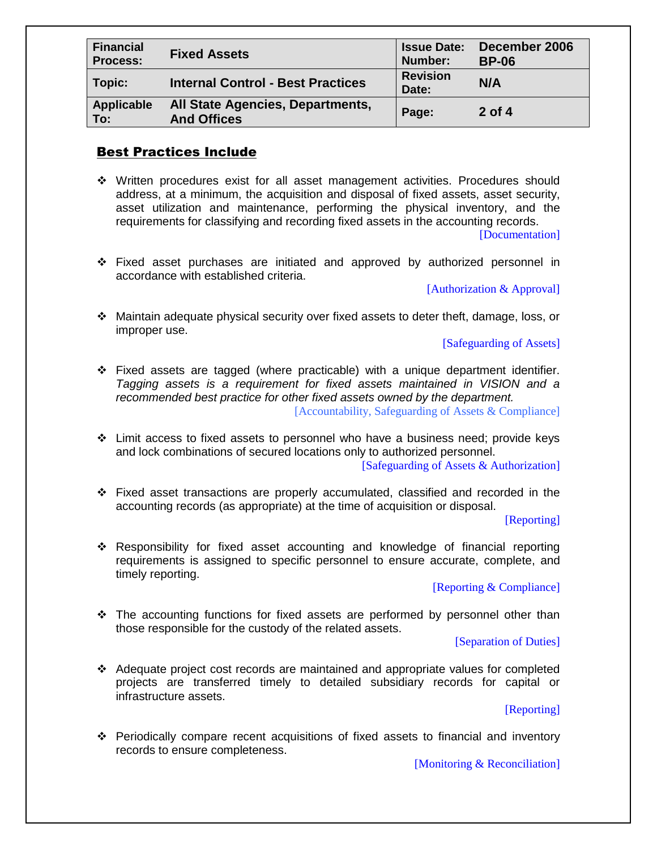| <b>Financial</b><br><b>Process:</b> | <b>Fixed Assets</b>                                    | <b>Issue Date:</b><br>Number: | December 2006<br><b>BP-06</b> |
|-------------------------------------|--------------------------------------------------------|-------------------------------|-------------------------------|
| Topic:                              | <b>Internal Control - Best Practices</b>               | <b>Revision</b><br>Date:      | N/A                           |
| <b>Applicable</b><br>To:            | All State Agencies, Departments,<br><b>And Offices</b> | Page:                         | $2$ of 4                      |

#### Best Practices Include

 Written procedures exist for all asset management activities. Procedures should address, at a minimum, the acquisition and disposal of fixed assets, asset security, asset utilization and maintenance, performing the physical inventory, and the requirements for classifying and recording fixed assets in the accounting records.

[Documentation]

 Fixed asset purchases are initiated and approved by authorized personnel in accordance with established criteria.

[Authorization & Approval]

 Maintain adequate physical security over fixed assets to deter theft, damage, loss, or improper use.

[Safeguarding of Assets]

- $\div$  Fixed assets are tagged (where practicable) with a unique department identifier. *Tagging assets is a requirement for fixed assets maintained in VISION and a recommended best practice for other fixed assets owned by the department.* [Accountability, Safeguarding of Assets & Compliance]
- Limit access to fixed assets to personnel who have a business need; provide keys and lock combinations of secured locations only to authorized personnel.

[Safeguarding of Assets & Authorization]

 Fixed asset transactions are properly accumulated, classified and recorded in the accounting records (as appropriate) at the time of acquisition or disposal.

[Reporting]

 Responsibility for fixed asset accounting and knowledge of financial reporting requirements is assigned to specific personnel to ensure accurate, complete, and timely reporting.

[Reporting & Compliance]

 $\div$  The accounting functions for fixed assets are performed by personnel other than those responsible for the custody of the related assets.

[Separation of Duties]

 Adequate project cost records are maintained and appropriate values for completed projects are transferred timely to detailed subsidiary records for capital or infrastructure assets.

[Reporting]

 Periodically compare recent acquisitions of fixed assets to financial and inventory records to ensure completeness.

[Monitoring & Reconciliation]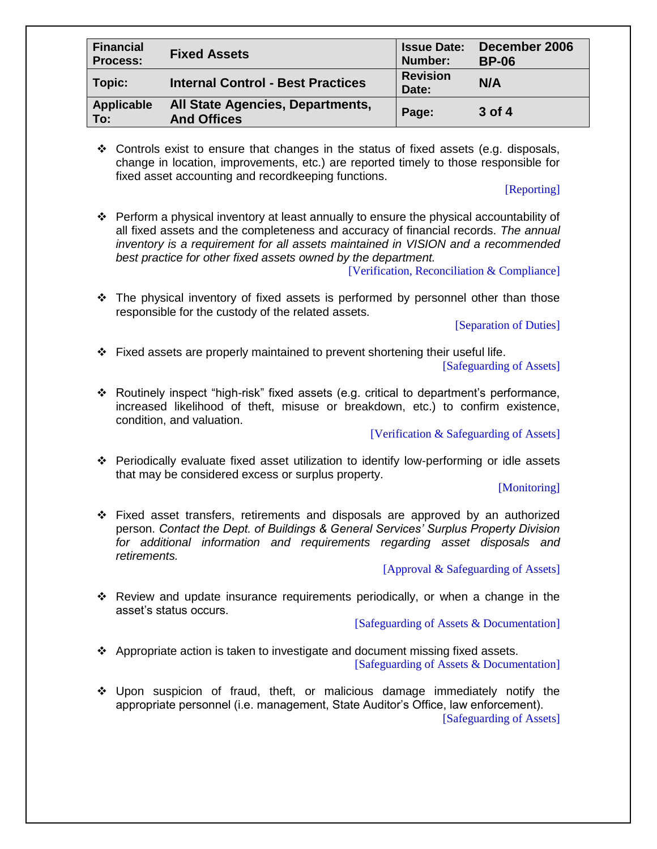| <b>Financial</b><br><b>Process:</b> | <b>Fixed Assets</b>                                    | <b>Issue Date:</b><br>Number: | December 2006<br><b>BP-06</b> |
|-------------------------------------|--------------------------------------------------------|-------------------------------|-------------------------------|
| Topic:                              | <b>Internal Control - Best Practices</b>               | <b>Revision</b><br>Date:      | N/A                           |
| <b>Applicable</b><br>To:            | All State Agencies, Departments,<br><b>And Offices</b> | Page:                         | 3 of 4                        |

 $\div$  Controls exist to ensure that changes in the status of fixed assets (e.g. disposals, change in location, improvements, etc.) are reported timely to those responsible for fixed asset accounting and recordkeeping functions.

#### [Reporting]

 $\div$  Perform a physical inventory at least annually to ensure the physical accountability of all fixed assets and the completeness and accuracy of financial records. *The annual inventory is a requirement for all assets maintained in VISION and a recommended best practice for other fixed assets owned by the department.*

[Verification, Reconciliation & Compliance]

 $\div$  The physical inventory of fixed assets is performed by personnel other than those responsible for the custody of the related assets.

[Separation of Duties]

- $\div$  Fixed assets are properly maintained to prevent shortening their useful life. [Safeguarding of Assets]
- $\div$  Routinely inspect "high-risk" fixed assets (e.g. critical to department's performance, increased likelihood of theft, misuse or breakdown, etc.) to confirm existence, condition, and valuation.

[Verification & Safeguarding of Assets]

 Periodically evaluate fixed asset utilization to identify low-performing or idle assets that may be considered excess or surplus property.

#### [Monitoring]

 Fixed asset transfers, retirements and disposals are approved by an authorized person. *Contact the Dept. of Buildings & General Services' Surplus Property Division for additional information and requirements regarding asset disposals and retirements.*

[Approval & Safeguarding of Assets]

 Review and update insurance requirements periodically, or when a change in the asset's status occurs.

[Safeguarding of Assets & Documentation]

- $\div$  Appropriate action is taken to investigate and document missing fixed assets. [Safeguarding of Assets & Documentation]
- Upon suspicion of fraud, theft, or malicious damage immediately notify the appropriate personnel (i.e. management, State Auditor's Office, law enforcement). [Safeguarding of Assets]